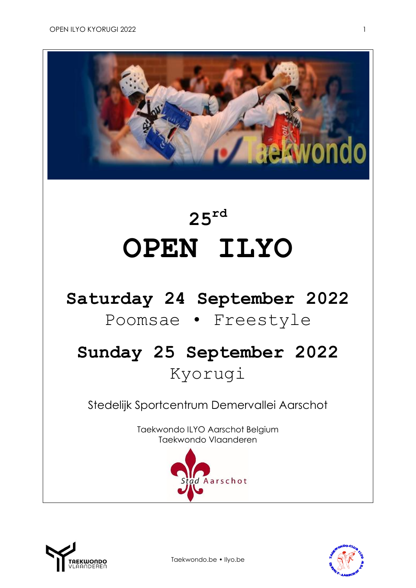

# **25 rd OPEN ILYO**

### **Saturday 24 September 2022**

### Poomsae • Freestyle

## **Sunday 25 September 2022** Kyorugi

Stedelijk Sportcentrum Demervallei Aarschot

Taekwondo ILYO Aarschot Belgium Taekwondo Vlaanderen







Taekwondo.be • Ilyo.be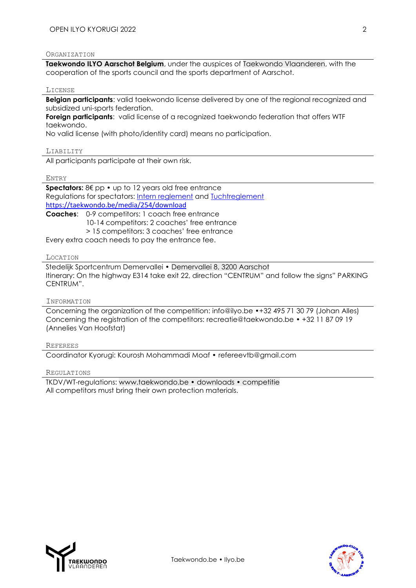#### ORGANIZATION

**[Taekwondo ILYO Aarschot Belgium](http://www.ilyo.be/)**, under the auspices of [Taekwondo Vlaanderen,](http://www.taekwondo.be/) with the cooperation of the sports council and the sports department of Aarschot.

#### **LICENSE**

**Belgian participants:** valid taekwondo license delivered by one of the regional recognized and subsidized uni-sports federation.

**Foreign participants**: valid license of a recognized taekwondo federation that offers WTF taekwondo.

No valid license (with photo/identity card) means no participation.

LIABILITY

All participants participate at their own risk.

ENTRY

**Spectators:** 8€ pp • up to 12 years old free entrance Regulations for spectators: [Intern reglement](https://taekwondo.be/media/123/download) and [Tuchtreglement](https://taekwondo.be/media/254/download) <https://taekwondo.be/media/254/download>

**Coaches**: 0-9 competitors: 1 coach free entrance 10-14 competitors: 2 coaches' free entrance > 15 competitors: 3 coaches' free entrance

Every extra coach needs to pay the entrance fee.

#### LOCATION

Stedelijk Sportcentrum Demervallei • [Demervallei 8, 3200 Aarschot](https://www.google.be/maps/place/Demervallei+8,+3200+Aarschot/@50.9849187,4.8370893,17z/data=!3m1!4b1!4m5!3m4!1s0x47c1434df324361b:0x47328602c990473d!8m2!3d50.983806!4d4.839325?hl=nl) Itinerary: On the highway E314 take exit 22, direction "CENTRUM" and follow the signs" PARKING CENTRUM".

#### INFORMATION

Concerning the organization of the competition: [info@ilyo.be](mailto:info@ilyo.be) •+32 495 71 30 79 (Johan Alles) Concerning the registration of the competitors: [recreatie@taekwondo.be](mailto:recreatie@taekwondo.be) • +32 11 87 09 19 (Annelies Van Hoofstat)

#### REFEREES

Coordinator Kyorugi: Kourosh Mohammadi Moaf • [refereevtb@gmail.com](file:///Z:/Anja/TKDV-wedstrijden/Seizoen%202019-2020/2019.09_OI/refereevtb@gmail.com)

#### REGULATIONS

TKDV/WT-regulations: [www.taekwondo.be • downloads • competitie](https://taekwondo.be/sites/default/files/2021-06/2020.09.20_Wedstrijdreglement_Kyorugi_2021_0.pdf) All competitors must bring their own protection materials.



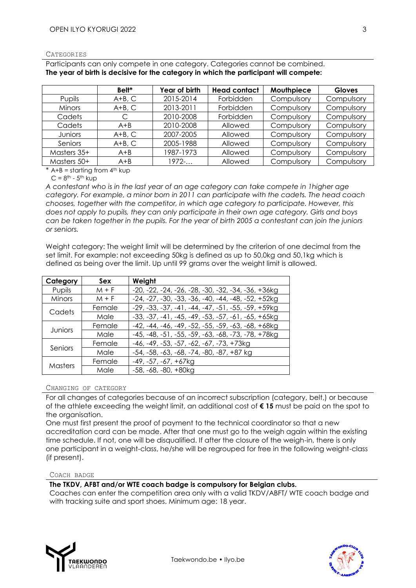#### **CATEGORIES**

Participants can only compete in one category. Categories cannot be combined. **The year of birth is decisive for the category in which the participant will compete:**

|               | Bell*    | Year of birth | <b>Head contact</b> | Mouthpiece | <b>Gloves</b> |
|---------------|----------|---------------|---------------------|------------|---------------|
| Pupils        | $A+B, C$ | 2015-2014     | Forbidden           | Compulsory | Compulsory    |
| <b>Minors</b> | $A+B, C$ | 2013-2011     | Forbidden           | Compulsory | Compulsory    |
| Cadets        |          | 2010-2008     | Forbidden           | Compulsory | Compulsory    |
| Cadets        | $A + B$  | 2010-2008     | Allowed             | Compulsory | Compulsory    |
| Juniors       | $A+B, C$ | 2007-2005     | Allowed             | Compulsory | Compulsory    |
| Seniors       | $A+B, C$ | 2005-1988     | Allowed             | Compulsory | Compulsory    |
| Masters 35+   | $A + B$  | 1987-1973     | Allowed             | Compulsory | Compulsory    |
| Masters 50+   | $A + B$  | 1972          | Allowed             | Compulsory | Compulsory    |

 $*$  A+B = starting from  $4<sup>th</sup>$  kup

 $C = 8$ <sup>th</sup> - 5<sup>th</sup> kup

*A contestant who is in the last year of an age category can take compete in 1higher age category. For example, a minor born in 2011 can participate with the cadets. The head coach chooses, together with the competitor, in which age category to participate. However, this does not apply to pupils, they can only participate in their own age category. Girls and boys can be taken together in the pupils. For the year of birth 2005 a contestant can join the juniors or seniors.*

Weight category: The weight limit will be determined by the criterion of one decimal from the set limit. For example: not exceeding 50kg is defined as up to 50,0kg and 50,1kg which is defined as being over the limit. Up until 99 grams over the weight limit is allowed.

| Category | <b>Sex</b> | Weight                                               |
|----------|------------|------------------------------------------------------|
| Pupils   | $M + F$    | $-20, -22, -24, -26, -28, -30, -32, -34, -36, +36kg$ |
| Minors   | $M + F$    | $-24, -27, -30, -33, -36, -40, -44, -48, -52, +52kg$ |
| Cadets   | Female     | $-29, -33, -37, -41, -44, -47, -51, -55, -59, +59kg$ |
|          | Male       | $-33, -37, -41, -45, -49, -53, -57, -61, -65, +65kg$ |
| Juniors  | Female     | $-42, -44, -46, -49, -52, -55, -59, -63, -68, +68kg$ |
|          | Male       | $-45, -48, -51, -55, -59, -63, -68, -73, -78, +78kg$ |
| Seniors  | Female     | $-46, -49, -53, -57, -62, -67, -73, +73kg$           |
|          | Male       | $-54, -58, -63, -68, -74, -80, -87, +87$ kg          |
| Masters  | Female     | $-49, -57, -67, +67$                                 |
|          | Male       | $-58, -68, -80, +80kg$                               |

#### CHANGING OF CATEGORY

For all changes of categories because of an incorrect subscription (category, belt,) or because of the athlete exceeding the weight limit, an additional cost of **€ 15** must be paid on the spot to the organisation.

One must first present the proof of payment to the technical coordinator so that a new accreditation card can be made. After that one must go to the weigh again within the existing time schedule. If not, one will be disqualified. If after the closure of the weigh-in, there is only one participant in a weight-class, he/she will be regrouped for free in the following weight-class (if present).

#### COACH BADGE

#### **The TKDV, AFBT and/or WTE coach badge is compulsory for Belgian clubs.**

Coaches can enter the competition area only with a valid TKDV/ABFT/ WTE coach badge and with tracking suite and sport shoes. Minimum age: 18 year.



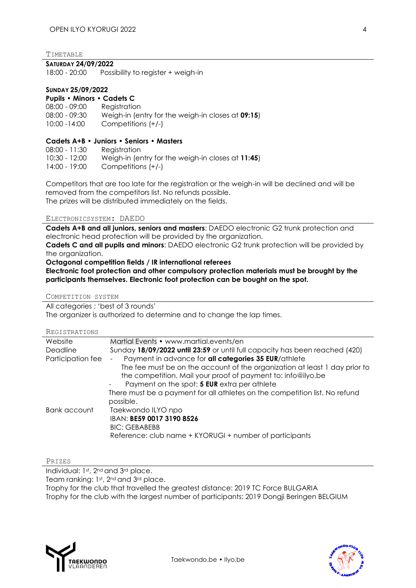TIMETABLE

#### **SATURDAY 24/09/2022**

18:00 - 20:00 Possibility to register + weigh-in

#### **SUNDAY 25/09/2022**

| <b>Pupils • Minors • Cadets C</b> |                                                   |
|-----------------------------------|---------------------------------------------------|
| $08:00 - 09:00$                   | Registration                                      |
| $08:00 - 09:30$                   | Weigh-in (entry for the weigh-in closes at 09:15) |
| 10:00 -14:00                      | Competitions $(+/-)$                              |

#### **Cadets A+B • Juniors • Seniors • Masters**

08:00 - 11:30 Registration 10:30 - 12:00 Weigh-in (entry for the weigh-in closes at **11:45**) 14:00 - 19:00 Competitions (+/-)

Competitors that are too late for the registration or the weigh-in will be declined and will be removed from the competitors list. No refunds possible. The prizes will be distributed immediately on the fields.

#### ELECTRONICSYSTEM: DAEDO

**Cadets A+B and all juniors, seniors and masters**: DAEDO electronic G2 trunk protection and electronic head protection will be provided by the organization.

**Cadets C and all pupils and minors**: DAEDO electronic G2 trunk protection will be provided by the organization.

**Octagonal competition fields / IR international referees**

**Electronic foot protection and other compulsory protection materials must be brought by the participants themselves. Electronic foot protection can be bought on the spot.** 

COMPETITION SYSTEM

All categories : 'best of 3 rounds'

The organizer is authorized to determine and to change the lap times.

| Website           | Martial Events • www.martial.events/en                                      |
|-------------------|-----------------------------------------------------------------------------|
| Deadline          | Sunday 18/09/2022 until 23:59 or until full capacity has been reached (420) |
| Participation fee | Payment in advance for all categories 35 EUR/athlete                        |
|                   | The fee must be on the account of the organization at least 1 day prior to  |
|                   | the competition. Mail your proof of payment to: info@ilyo.be                |
|                   | Payment on the spot: 5 EUR extra per athlete                                |
|                   | There must be a payment for all athletes on the competition list. No refund |
|                   | possible.                                                                   |
| Bank account      | Taekwondo ILYO npo                                                          |
|                   | IBAN: BE59 0017 3190 8526                                                   |
|                   | <b>BIC: GEBABEBB</b>                                                        |
|                   | Reference: club name + KYORUGI + number of participants                     |

PRIZES

Individual: 1st, 2nd and 3rd place.

Team ranking: 1st, 2<sup>nd</sup> and 3<sup>rd</sup> place.

Trophy for the club that travelled the greatest distance: 2019 TC Force BULGARIA

Trophy for the club with the largest number of participants: 2019 Dongji Beringen BELGIUM